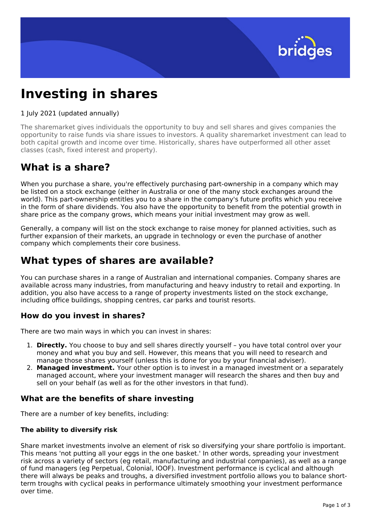

# **Investing in shares**

#### 1 July 2021 (updated annually)

The sharemarket gives individuals the opportunity to buy and sell shares and gives companies the opportunity to raise funds via share issues to investors. A quality sharemarket investment can lead to both capital growth and income over time. Historically, shares have outperformed all other asset classes (cash, fixed interest and property).

### **What is a share?**

When you purchase a share, you're effectively purchasing part-ownership in a company which may be listed on a stock exchange (either in Australia or one of the many stock exchanges around the world). This part-ownership entitles you to a share in the company's future profits which you receive in the form of share dividends. You also have the opportunity to benefit from the potential growth in share price as the company grows, which means your initial investment may grow as well.

Generally, a company will list on the stock exchange to raise money for planned activities, such as further expansion of their markets, an upgrade in technology or even the purchase of another company which complements their core business.

# **What types of shares are available?**

You can purchase shares in a range of Australian and international companies. Company shares are available across many industries, from manufacturing and heavy industry to retail and exporting. In addition, you also have access to a range of property investments listed on the stock exchange, including office buildings, shopping centres, car parks and tourist resorts.

### **How do you invest in shares?**

There are two main ways in which you can invest in shares:

- 1. **Directly.** You choose to buy and sell shares directly yourself you have total control over your money and what you buy and sell. However, this means that you will need to research and manage those shares yourself (unless this is done for you by your financial adviser).
- 2. **Managed investment.** Your other option is to invest in a managed investment or a separately managed account, where your investment manager will research the shares and then buy and sell on your behalf (as well as for the other investors in that fund).

### **What are the benefits of share investing**

There are a number of key benefits, including:

#### **The ability to diversify risk**

Share market investments involve an element of risk so diversifying your share portfolio is important. This means 'not putting all your eggs in the one basket.' In other words, spreading your investment risk across a variety of sectors (eg retail, manufacturing and industrial companies), as well as a range of fund managers (eg Perpetual, Colonial, IOOF). Investment performance is cyclical and although there will always be peaks and troughs, a diversified investment portfolio allows you to balance shortterm troughs with cyclical peaks in performance ultimately smoothing your investment performance over time.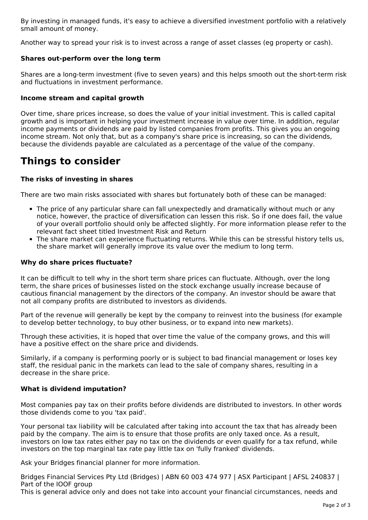By investing in managed funds, it's easy to achieve a diversified investment portfolio with a relatively small amount of money.

Another way to spread your risk is to invest across a range of asset classes (eg property or cash).

#### **Shares out-perform over the long term**

Shares are a long-term investment (five to seven years) and this helps smooth out the short-term risk and fluctuations in investment performance.

#### **Income stream and capital growth**

Over time, share prices increase, so does the value of your initial investment. This is called capital growth and is important in helping your investment increase in value over time. In addition, regular income payments or dividends are paid by listed companies from profits. This gives you an ongoing income stream. Not only that, but as a company's share price is increasing, so can the dividends, because the dividends payable are calculated as a percentage of the value of the company.

## **Things to consider**

#### **The risks of investing in shares**

There are two main risks associated with shares but fortunately both of these can be managed:

- The price of any particular share can fall unexpectedly and dramatically without much or any notice, however, the practice of diversification can lessen this risk. So if one does fail, the value of your overall portfolio should only be affected slightly. For more information please refer to the relevant fact sheet titled Investment Risk and Return
- The share market can experience fluctuating returns. While this can be stressful history tells us, the share market will generally improve its value over the medium to long term.

#### **Why do share prices fluctuate?**

It can be difficult to tell why in the short term share prices can fluctuate. Although, over the long term, the share prices of businesses listed on the stock exchange usually increase because of cautious financial management by the directors of the company. An investor should be aware that not all company profits are distributed to investors as dividends.

Part of the revenue will generally be kept by the company to reinvest into the business (for example to develop better technology, to buy other business, or to expand into new markets).

Through these activities, it is hoped that over time the value of the company grows, and this will have a positive effect on the share price and dividends.

Similarly, if a company is performing poorly or is subject to bad financial management or loses key staff, the residual panic in the markets can lead to the sale of company shares, resulting in a decrease in the share price.

#### **What is dividend imputation?**

Most companies pay tax on their profits before dividends are distributed to investors. In other words those dividends come to you 'tax paid'.

Your personal tax liability will be calculated after taking into account the tax that has already been paid by the company. The aim is to ensure that those profits are only taxed once. As a result, investors on low tax rates either pay no tax on the dividends or even qualify for a tax refund, while investors on the top marginal tax rate pay little tax on 'fully franked' dividends.

Ask your Bridges financial planner for more information.

Bridges Financial Services Pty Ltd (Bridges) | ABN 60 003 474 977 | ASX Participant | AFSL 240837 | Part of the IOOF group

This is general advice only and does not take into account your financial circumstances, needs and